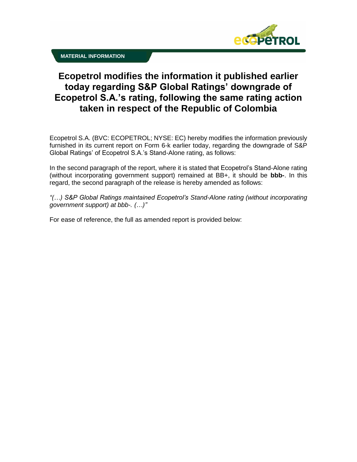

## **Ecopetrol modifies the information it published earlier today regarding S&P Global Ratings' downgrade of Ecopetrol S.A.'s rating, following the same rating action taken in respect of the Republic of Colombia**

Ecopetrol S.A. (BVC: ECOPETROL; NYSE: EC) hereby modifies the information previously furnished in its current report on Form 6-k earlier today, regarding the downgrade of S&P Global Ratings' of Ecopetrol S.A.'s Stand-Alone rating, as follows:

In the second paragraph of the report, where it is stated that Ecopetrol's Stand-Alone rating (without incorporating government support) remained at BB+, it should be **bbb-**. In this regard, the second paragraph of the release is hereby amended as follows:

*"(…) S&P Global Ratings maintained Ecopetrol's Stand-Alone rating (without incorporating government support) at bbb-. (…)"*

For ease of reference, the full as amended report is provided below: